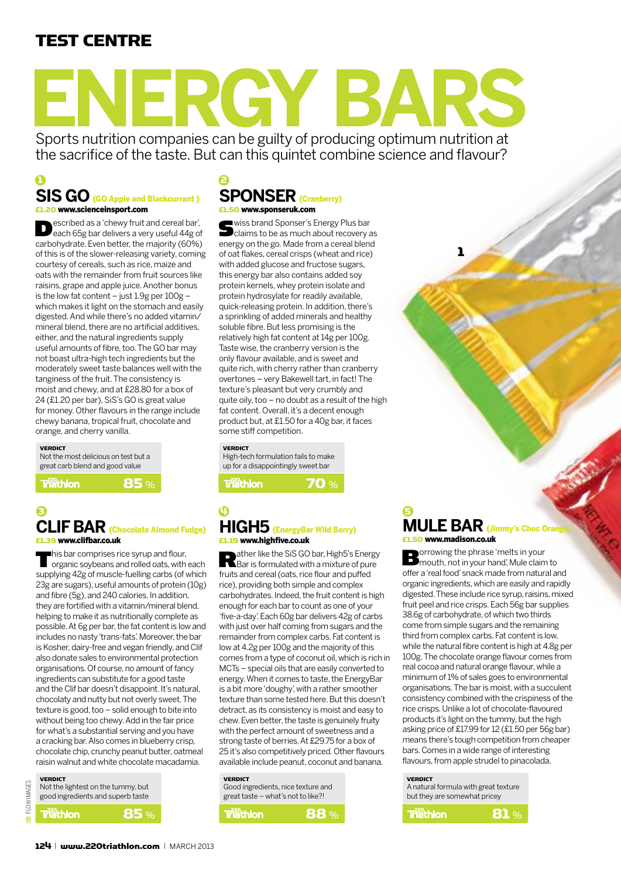# test centre

# **ENERGY BARS**

Sports nutrition companies can be guilty of producing optimum nutrition at the sacrifice of the taste. But can this quintet combine science and flavour?

## $\epsilon$ **SiS Go** (GO Apple and Blackcurrant ) £1.20 www.scienceinsport.com

**Described as a 'chewy fruit and cereal bar',**<br>
each 65g bar delivers a very useful 44g of carbohydrate. Even better, the majority (60%) of this is of the slower-releasing variety, coming courtesy of cereals, such as rice, maize and oats with the remainder from fruit sources like raisins, grape and apple juice. Another bonus is the low fat content – just 1.9g per 100g – which makes it light on the stomach and easily digested. And while there's no added vitamin/ mineral blend, there are no artificial additives, either, and the natural ingredients supply useful amounts of fibre, too. The GO bar may not boast ultra-high tech ingredients but the moderately sweet taste balances well with the tanginess of the fruit. The consistency is moist and chewy, and at £28.80 for a box of 24 (£1.20 per bar), SiS's GO is great value for money. Other flavours in the range include chewy banana, tropical fruit, chocolate and orange, and cherry vanilla.

#### **VERDICT** Not the most delicious on test but a great carb blend and good value

**Triathion** 

# 85 %

### 3 4 **CLIF BAR** *(Chocolate Almond Fudge)* £1.39 www.clifbar.co.uk

This bar comprises rice syrup and flour,<br>organic soybeans and rolled oats, with each supplying 42g of muscle-fuelling carbs (of which 23g are sugars), useful amounts of protein (10g) and fibre (5g), and 240 calories. In addition, they are fortified with a vitamin/mineral blend, helping to make it as nutritionally complete as possible. At 6g per bar, the fat content is low and includes no nasty 'trans-fats'. Moreover, the bar is Kosher, dairy-free and vegan friendly, and Clif also donate sales to environmental protection organisations. Of course, no amount of fancy ingredients can substitute for a good taste and the Clif bar doesn't disappoint. It's natural, chocolaty and nutty but not overly sweet. The texture is good, too – solid enough to bite into without being too chewy. Add in the fair price for what's a substantial serving and you have a cracking bar. Also comes in blueberry crisp, chocolate chip, crunchy peanut butter, oatmeal raisin walnut and white chocolate macadamia.

# **VERDICT B** FLOWIMAGES FLOW IMAGES

| Not the lightest on the tummy, but |  |  |
|------------------------------------|--|--|
| good ingredients and superb taste  |  |  |

# 85 %

# **Sponser** (Cranberry) £1.50 www.sponseruk.com

Swiss brand Sponser's Energy Plus bar<br>
claims to be as much about recovery as energy on the go. Made from a cereal blend of oat flakes, cereal crisps (wheat and rice) with added glucose and fructose sugars, this energy bar also contains added soy protein kernels, whey protein isolate and protein hydrosylate for readily available, quick-releasing protein. In addition, there's a sprinkling of added minerals and healthy soluble fibre. But less promising is the relatively high fat content at 14g per 100g. Taste wise, the cranberry version is the only flavour available, and is sweet and quite rich, with cherry rather than cranberry overtones – very Bakewell tart, in fact! The texture's pleasant but very crumbly and quite oily, too – no doubt as a result of the high fat content. Overall, it's a decent enough product but, at £1.50 for a 40g bar, it faces some stiff competition.

#### **VERDICT**

High-tech formulation fails to make up for a disappointingly sweet bar

**Triathion** 

70 %

# **HIGH5** (EnergyBar Wild Berry) £1.19 www.highfive.co.uk

**Rather like the SiS GO bar, High5's Energy**<br>Bar is formulated with a mixture of pure fruits and cereal (oats, rice flour and puffed rice), providing both simple and complex carbohydrates. Indeed, the fruit content is high enough for each bar to count as one of your 'five-a-day'. Each 60g bar delivers 42g of carbs with just over half coming from sugars and the remainder from complex carbs. Fat content is low at 4.2g per 100g and the majority of this comes from a type of coconut oil, which is rich in MCTs – special oils that are easily converted to energy. When it comes to taste, the EnergyBar is a bit more 'doughy', with a rather smoother texture than some tested here. But this doesn't detract, as its consistency is moist and easy to chew. Even better, the taste is genuinely fruity with the perfect amount of sweetness and a strong taste of berries. At £29.75 for a box of 25 it's also competitively priced. Other flavours available include peanut, coconut and banana.

# verdict

| Good ingredients, nice texture and |
|------------------------------------|
| great taste - what's not to like?! |
|                                    |

**Triathion** 88 %

#### 5 **MULE BAR** (Jimmy's Choc Orang £1.50 www.madison.co.uk

1

**Borrowing the phrase 'melts in your Borrowing the phrase' melts in your hand'**, Mule claim to offer a 'real food' snack made from natural and organic ingredients, which are easily and rapidly digested. These include rice syrup, raisins, mixed fruit peel and rice crisps. Each 56g bar supplies 38.6g of carbohydrate, of which two thirds come from simple sugars and the remaining third from complex carbs. Fat content is low, while the natural fibre content is high at 4.8g per 100g. The chocolate orange flavour comes from real cocoa and natural orange flavour, while a minimum of 1% of sales goes to environmental organisations. The bar is moist, with a succulent consistency combined with the crispiness of the rice crisps. Unlike a lot of chocolate-flavoured products it's light on the tummy, but the high asking price of £17.99 for 12 (£1.50 per 56g bar) means there's tough competition from cheaper bars. Comes in a wide range of interesting flavours, from apple strudel to pinacolada.

#### **VERDICT**

A natural formula with great texture but they are somewhat pricey

| <b>Triathion</b> | 81 % $ $ |
|------------------|----------|
|                  |          |